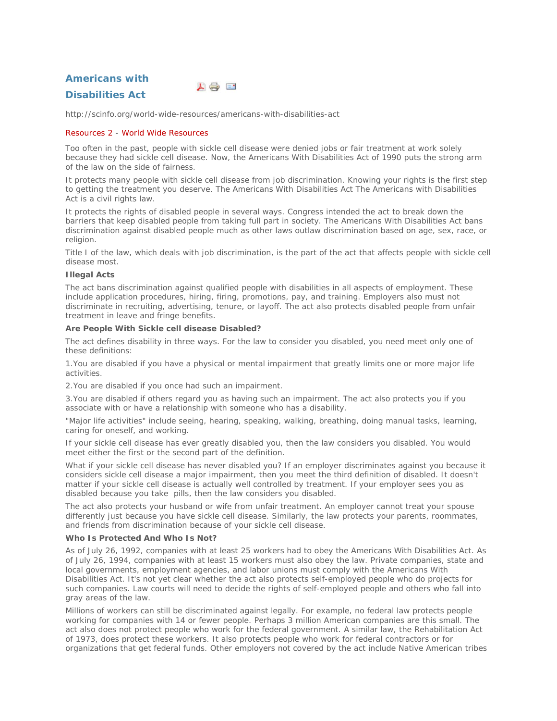**Americans with** 



# **Disabilities Act**

http://scinfo.org/world-wide-resources/americans-with-disabilities-act

# Resources 2 - World Wide Resources

Too often in the past, people with sickle cell disease were denied jobs or fair treatment at work solely because they had sickle cell disease. Now, the Americans With Disabilities Act of 1990 puts the strong arm of the law on the side of fairness.

It protects many people with sickle cell disease from job discrimination. Knowing your rights is the first step to getting the treatment you deserve. The Americans With Disabilities Act The Americans with Disabilities Act is a civil rights law.

It protects the rights of disabled people in several ways. Congress intended the act to break down the barriers that keep disabled people from taking full part in society. The Americans With Disabilities Act bans discrimination against disabled people much as other laws outlaw discrimination based on age, sex, race, or religion.

Title I of the law, which deals with job discrimination, is the part of the act that affects people with sickle cell disease most.

## *Illegal Acts*

The act bans discrimination against qualified people with disabilities in all aspects of employment. These include application procedures, hiring, firing, promotions, pay, and training. Employers also must not discriminate in recruiting, advertising, tenure, or layoff. The act also protects disabled people from unfair treatment in leave and fringe benefits.

# *Are People With Sickle cell disease Disabled?*

The act defines disability in three ways. For the law to consider you disabled, you need meet only one of these definitions:

1.You are disabled if you have a physical or mental impairment that greatly limits one or more major life activities.

2.You are disabled if you once had such an impairment.

3.You are disabled if others regard you as having such an impairment. The act also protects you if you associate with or have a relationship with someone who has a disability.

"Major life activities" include seeing, hearing, speaking, walking, breathing, doing manual tasks, learning, caring for oneself, and working.

If your sickle cell disease has ever greatly disabled you, then the law considers you disabled. You would meet either the first or the second part of the definition.

What if your sickle cell disease has never disabled you? If an employer discriminates against you because it considers sickle cell disease a major impairment, then you meet the third definition of disabled. It doesn't matter if your sickle cell disease is actually well controlled by treatment. If your employer sees you as disabled because you take pills, then the law considers you disabled.

The act also protects your husband or wife from unfair treatment. An employer cannot treat your spouse differently just because you have sickle cell disease. Similarly, the law protects your parents, roommates, and friends from discrimination because of your sickle cell disease.

## *Who Is Protected And Who Is Not?*

As of July 26, 1992, companies with at least 25 workers had to obey the Americans With Disabilities Act. As of July 26, 1994, companies with at least 15 workers must also obey the law. Private companies, state and local governments, employment agencies, and labor unions must comply with the Americans With Disabilities Act. It's not yet clear whether the act also protects self-employed people who do projects for such companies. Law courts will need to decide the rights of self-employed people and others who fall into gray areas of the law.

Millions of workers can still be discriminated against legally. For example, no federal law protects people working for companies with 14 or fewer people. Perhaps 3 million American companies are this small. The act also does not protect people who work for the federal government. A similar law, the Rehabilitation Act of 1973, does protect these workers. It also protects people who work for federal contractors or for organizations that get federal funds. Other employers not covered by the act include Native American tribes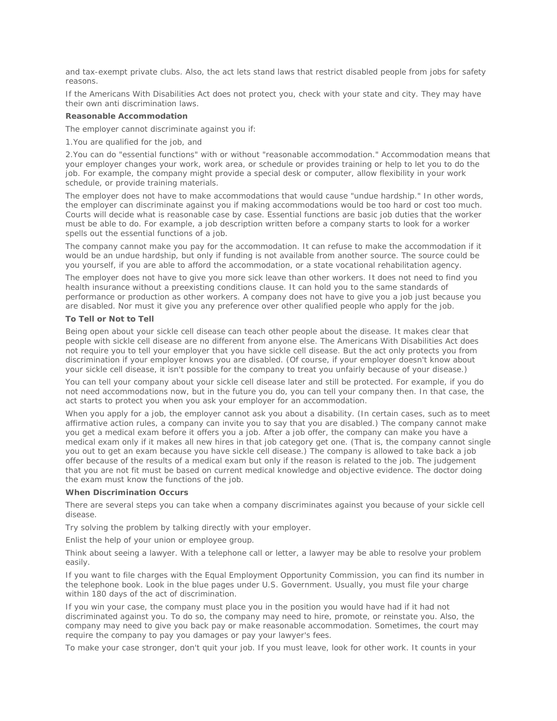and tax-exempt private clubs. Also, the act lets stand laws that restrict disabled people from jobs for safety reasons.

If the Americans With Disabilities Act does not protect you, check with your state and city. They may have their own anti discrimination laws.

### *Reasonable Accommodation*

The employer cannot discriminate against you if:

1.You are qualified for the job, and

2.You can do "essential functions" with or without "reasonable accommodation." Accommodation means that your employer changes your work, work area, or schedule or provides training or help to let you to do the job. For example, the company might provide a special desk or computer, allow flexibility in your work schedule, or provide training materials.

The employer does not have to make accommodations that would cause "undue hardship." In other words, the employer can discriminate against you if making accommodations would be too hard or cost too much. Courts will decide what is reasonable case by case. Essential functions are basic job duties that the worker must be able to do. For example, a job description written before a company starts to look for a worker spells out the essential functions of a job.

The company cannot make you pay for the accommodation. It can refuse to make the accommodation if it would be an undue hardship, but only if funding is not available from another source. The source could be you yourself, if you are able to afford the accommodation, or a state vocational rehabilitation agency.

The employer does not have to give you more sick leave than other workers. It does not need to find you health insurance without a preexisting conditions clause. It can hold you to the same standards of performance or production as other workers. A company does not have to give you a job just because you are disabled. Nor must it give you any preference over other qualified people who apply for the job.

#### *To Tell or Not to Tell*

Being open about your sickle cell disease can teach other people about the disease. It makes clear that people with sickle cell disease are no different from anyone else. The Americans With Disabilities Act does not require you to tell your employer that you have sickle cell disease. But the act only protects you from discrimination if your employer knows you are disabled. (Of course, if your employer doesn't know about your sickle cell disease, it isn't possible for the company to treat you unfairly because of your disease.)

You can tell your company about your sickle cell disease later and still be protected. For example, if you do not need accommodations now, but in the future you do, you can tell your company then. In that case, the act starts to protect you when you ask your employer for an accommodation.

When you apply for a job, the employer cannot ask you about a disability. (In certain cases, such as to meet affirmative action rules, a company can invite you to say that you are disabled.) The company cannot make you get a medical exam before it offers you a job. After a job offer, the company can make you have a medical exam only if it makes all new hires in that job category get one. (That is, the company cannot single you out to get an exam because you have sickle cell disease.) The company is allowed to take back a job offer because of the results of a medical exam but only if the reason is related to the job. The judgement that you are not fit must be based on current medical knowledge and objective evidence. The doctor doing the exam must know the functions of the job.

#### *When Discrimination Occurs*

There are several steps you can take when a company discriminates against you because of your sickle cell disease.

Try solving the problem by talking directly with your employer.

Enlist the help of your union or employee group.

Think about seeing a lawyer. With a telephone call or letter, a lawyer may be able to resolve your problem easily.

If you want to file charges with the Equal Employment Opportunity Commission, you can find its number in the telephone book. Look in the blue pages under U.S. Government. Usually, you must file your charge within 180 days of the act of discrimination.

If you win your case, the company must place you in the position you would have had if it had not discriminated against you. To do so, the company may need to hire, promote, or reinstate you. Also, the company may need to give you back pay or make reasonable accommodation. Sometimes, the court may require the company to pay you damages or pay your lawyer's fees.

To make your case stronger, don't quit your job. If you must leave, look for other work. It counts in your